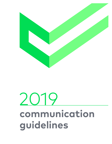

# 2019 **communication guidelines**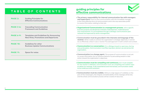

**receiver.** While it seeks to achieve the organization's strategic objectives, it cannot do so effectively unless it uses a receiver-focused approach in both content and context.

- **The primary responsibility for internal communication lies with managers and supervisors.** Face-to-face communication with the immediate manager is the most effective form of communication and is the way associates prefer to receive information relating to their job.
- **Organizational Communication is a management process**, with a specific business purpose and disciplined methods of development, implementation and measurement. It is accomplished through a strategic communication plan reviewed and approved by senior management.
- **Communication must be grounded in the interests and language of the**
- **Communication is a conversation.** It is a dialogue based on openness, sharing and participation. Communication must flow top down, bottom up and across the organization.
- **Communication is a change agent.** The purpose of communication is not just to convey information, but to influence behavior by persuading people to take action toward the organization's objectives.
- **Communication must be compelling and continuous.** As it must compete for the receiver's attention, communication must use compelling and creative ways to deliver its message. To be remembered and internalized, communication needs to be continuous and consistent.
- **Communication must be credible.** Without a high degree of credibility on the part of the messengers, the integrity and believability of the message will be lost, and the whole communication process will be a waste of resources.

# **guiding principles for effective communications**

| <b>PAGE 2:</b>   | <b>Guiding Principles for</b><br><b>Effective Communications</b>                              |
|------------------|-----------------------------------------------------------------------------------------------|
| <b>PAGE 3-6:</b> | <b>Cascading Communication</b><br><b>Framework and Guidelines</b>                             |
| <b>PAGE 6-9:</b> | <b>Templates and Guidelines for Announcing</b><br><b>New Hires, Promotions and Departures</b> |
| <b>PAGE 10:</b>  | <b>Guidelines for other</b><br><b>Business Update Communications</b>                          |
| <b>PAGE 11:</b>  | <b>Space for notes</b>                                                                        |
|                  |                                                                                               |

# **TABLE OF CONTENTS**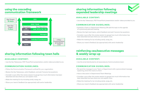

# **sharing information following expanded leadership meetings**

# **reinforcing ceo/executive messages & weekly wrap-up**

#### **AVAILABLE CONTENT:**

• Use the Key Takeaways, PDF PowerPoint presentation and/or videos provided to you

### **COMMUNICATION GUIDELINES:**

- Schedule a Team or Department Meeting OR add this topic to the agenda of a previously planned meeting
- Review the high-level topics, solicit feedback and ask if anyone has questions
- Consider a quiz after this review session to gauge how much information has been absorbed and see where you can explain more
- Make the meeting fun by including candy, swag, etc.
- Share your team's feedback (as appropriate) with senior leadership

#### **AVAILABLE CONTENT:**

• Use the email distributed to all associates by Communications team

### **COMMUNICATION GUIDELINES:**

- Re-send the message to your Team or Department with a personalized message explaining what this means to them
- Have a discussion in Department/Team Meetings
- Consider a quiz after this review session to gauge how much information has been absorbed and see where you can explain more
- Make the meeting fun by including candy, swag, etc.
- Share your team's feedback (as appropriate) with senior leadership

# **sharing information following town halls**

# **using the cascading communication framework**

#### **AVAILABLE CONTENT:**

• Use the Key Takeaways, PDF PowerPoint presentation, and/or videos provided to you

#### **COMMUNICATION GUIDELINES:**

- Follow the Communication Framework outlined for your organization
- Review the Key Takeaways, solicit feedback, and ask if anyone has questions
- Consider a quiz after this review session to gauge how much information has been absorbed and see where you can explain more
- Make the meeting fun by including candy, swag, etc.
- Share your team's feedback (as appropriate) with senior leadership

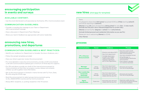# **new hires** (click [here](http://interchange/Communications/Managers%20Toolkit%20Documents/CCHS%20Communication%20New%20Hire%20Template%2010.18.18%20FINAL.pdf) for template)

# **process**

#### Team,

- I'm pleased to share that **{full name}** has joined CCHS as **{Title}** starting **{when?}**
- **{Name}** brings **{X}** years of experience **{doing what}** for who **{list 2 roles max?}.**
	-
	-
	-

and will be reporting to **{whom?}.** 

**{Include how the prior role is relevant/supportive to current role.}**

**{Name}** earned his/her **{degree}** in **{what}** from **{who/where}.**

**{Include limited personal and residential information as you see fit.}**

Please join me in welcoming **{Name}** to CCHS.

**{Your Name}**

| <b>Communication</b>                                                                 | <b>Owner</b>             | <b>Audience</b>                                                                                                                                                                            | <b>Process</b>                                                                                                                                                                                                                                 |
|--------------------------------------------------------------------------------------|--------------------------|--------------------------------------------------------------------------------------------------------------------------------------------------------------------------------------------|------------------------------------------------------------------------------------------------------------------------------------------------------------------------------------------------------------------------------------------------|
| <b>VP or Director</b><br><b>Announcement</b>                                         | Executive<br>Lead        | - Directors and above (ELT)<br>- New hire's department<br>- Consider Supervisors<br>as well if it's a highly<br>visible position that<br>impacts a significant<br>part of the organization | - Executive Lead to draft<br>announcement and review<br>with Communications<br>- Use memo template format<br>- Hiring Manager or<br><b>Communications distributes</b><br>announcement<br>- Press release is decided<br>on a case-by-case basis |
| <b>Manager</b><br><b>Announcement</b>                                                | <b>Hiring</b><br>Manager | - New hire's department<br>- Associates who will work<br>closely with the new hire                                                                                                         | - Announce via an email<br>from the Hiring Manager                                                                                                                                                                                             |
| <b>Non-Leadership</b><br><b>Corporate</b><br><b>Associate</b><br><b>Announcement</b> | <b>Hiring</b><br>Manager | - New hire's department<br>- Associates who will work<br>closely with the new hire                                                                                                         | - Announce via an email<br>from the Hiring Manager                                                                                                                                                                                             |
| Agent<br><b>Introduction</b>                                                         | Supervisor               | - Associates who will work<br>closely with the new hire                                                                                                                                    | - Supervisor walks new hire<br>around and introduces him/her<br>to unit team members                                                                                                                                                           |





# **encouraging participation in events and surveys**

# **announcing new hires, promotions, and departures**

#### **AVAILABLE CONTENT:**

• Use the email distributed to all associates by the Events, HR or Communications team

#### **COMMUNICATION GUIDELINES:**

- Consider re-sending the message to your Team or Department with a personalized message
- Have a discussion in Department/Team Meetings
- Share your team's feedback (as appropriate) with senior leadership

#### **COMMUNICATION GUIDELINES & BEST PRACTICES:**

- Identify your audience (i.e. Department or broader, Sunrise or Anderson, etc.)
- Follow the sample templates provided
- Have your direct supervisor review the announcement
- For more detailed or executive announcements, provide a draft and schedule a call with Communications (please give a minimum of three days for support)
- For VPs and above, provide your draft of the internal announcement to Communications so that they can prepare a press release and schedule a follow-up call to gather more information.
- Set up the announcement in Outlook in memo format with To, From, Date, Re: and using the CCHS Logo
- Send the announcement to select groups (announcements going to ALL ASSOCIATES must be sent by Communications)
- Always BCC recipients, vs. putting recipients in the TO section.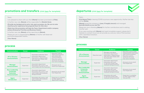

## **process**

#### Team,

**{Full Name/Title}** is leaving CCHS to pursue a new opportunity. His/her last day will be **{Date}.** 

**{Name}** joined the company in **{year, if lengthy tenure}** and managed **{provide details as you see fit}.** 

Please join me in thanking **{Name}** for his/her contributions and in wishing him/her well.

If you were working with **{Name}** and need immediate support, please don't hesitate to contact me so we can provide you and your area of the business with a seamless transition.

**{Your Name}**

| <b>Communication</b>                                                                 | <b>Owner</b>          | <b>Audience</b>                                                                                                               | <b>Process</b>                                                                                                                                  |
|--------------------------------------------------------------------------------------|-----------------------|-------------------------------------------------------------------------------------------------------------------------------|-------------------------------------------------------------------------------------------------------------------------------------------------|
| <b>VP or Director</b><br><b>Announcement</b>                                         | <b>Executive Lead</b> | - Managers and above<br>- Associate's department<br>- Associates or departments<br>who may work closely with<br>the Associate | - Executive Lead to draft<br>announcement and review<br>with Communications<br>- Executive Lead to<br>announce via email<br>- Use memo template |
| <b>Manager</b><br><b>Announcement</b>                                                | Supervisor            | - Associate's department<br>- Associates who work<br>or will work closely with<br>employee being promoted                     | - Announce via an email<br>from Supervisor                                                                                                      |
| <b>Non-Leadership</b><br><b>Corporate</b><br><b>Associate</b><br><b>Announcement</b> | Supervisor            | - Associate's department<br>- Associates who work<br>or will work closely with<br>employee being promoted                     | - Announce via an email<br>from Supervisor                                                                                                      |
| <b>Agent</b><br><b>Introduction</b>                                                  | Supervisor            | - Associates who work<br>or will work closely with<br>employee being promoted                                                 | - Supervisor to verbalize<br>to other agents when<br>time permits                                                                               |

# **promotions and transfers** (click [here](http://interchange/Communications/Managers%20Toolkit%20Documents/CCHS%20Communication%20Promotions%20and%20Transfers%20Template%2010.18.18%20FINAL.pdf) for template)

#### Team,

I am pleased to share with you that **{Name}** has been promoted to **{Title}.** 

In his/her new role, **{Name}** will be responsible for **{Details Here}.**

**{Provide any background on prior role, past successes, etc. Be sure to note why/how prior experience has prepared them for this role.}** 

**{Note how this promotion will help the Team, Department and/or company achieve Enterprise Priorities and Business Goals.}**

In his/her new role, **{Name}** will be reporting to **{Name}.** 

Please join me in congratulating **{Name}** on his/her well-deserved promotion/expanded role/etc.

**{Your Name}**

#### **process**

| <b>Communication</b>                                                          | <b>Owner</b>          | <b>Audience</b>                                                                                                                     | <b>Process</b>                                                                                                                                     |
|-------------------------------------------------------------------------------|-----------------------|-------------------------------------------------------------------------------------------------------------------------------------|----------------------------------------------------------------------------------------------------------------------------------------------------|
| <b>VP or Director</b><br><b>Announcement</b>                                  | <b>Executive Lead</b> | - Expanded Leadership Team<br>- Associate's department<br>- Associates or departments<br>who may work closely with<br>the Associate | - Executive Lead to<br>draft announcement<br>and review with<br>Communications<br>- Executive Lead to<br>announce via email<br>- Use memo template |
| <b>Manager</b><br><b>Announcement</b>                                         | Supervisor            | - Associate's department<br>- Associates who work or will<br>work closely with the Associate                                        | - Announce via an<br>email from Supervisor                                                                                                         |
| Non-Leadership<br><b>Corporate</b><br><b>Associate</b><br><b>Announcement</b> | Supervisor            | - Associate's department<br>- Associates who work or will<br>work closely with employee<br>being promoted                           | - Announce via an email<br>from Supervisor                                                                                                         |
| Agent<br><b>Introduction</b>                                                  | Supervisor            | - Associates who work or will<br>work closely with employee<br>being promoted                                                       | - Supervisor to verbalize<br>to other agents in<br>department meeting                                                                              |

# departures (click [here](http://interchange/Communications/Managers%20Toolkit%20Documents/CCHS%20Communication%20Departures%20Template%20FINAL%2010.18.18.pdf) for template)